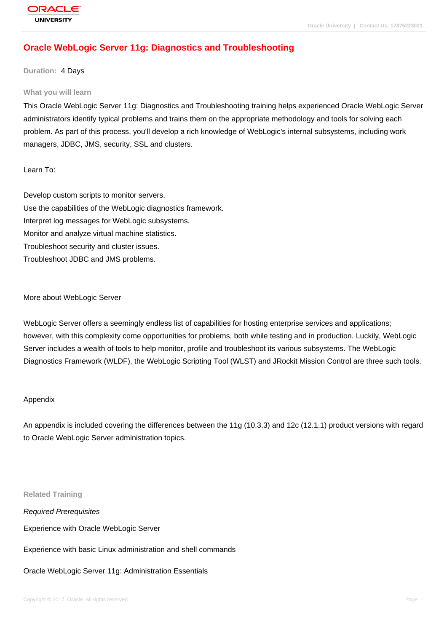# **[Oracle WebLog](http://education.oracle.com/pls/web_prod-plq-dad/db_pages.getpage?page_id=3)ic Server 11g: Diagnostics and Troubleshooting**

## **Duration:** 4 Days

#### **What you will learn**

This Oracle WebLogic Server 11g: Diagnostics and Troubleshooting training helps experienced Oracle WebLogic Server administrators identify typical problems and trains them on the appropriate methodology and tools for solving each problem. As part of this process, you'll develop a rich knowledge of WebLogic's internal subsystems, including work managers, JDBC, JMS, security, SSL and clusters.

### Learn To:

Develop custom scripts to monitor servers. Use the capabilities of the WebLogic diagnostics framework. Interpret log messages for WebLogic subsystems. Monitor and analyze virtual machine statistics. Troubleshoot security and cluster issues. Troubleshoot JDBC and JMS problems.

### More about WebLogic Server

WebLogic Server offers a seemingly endless list of capabilities for hosting enterprise services and applications; however, with this complexity come opportunities for problems, both while testing and in production. Luckily, WebLogic Server includes a wealth of tools to help monitor, profile and troubleshoot its various subsystems. The WebLogic Diagnostics Framework (WLDF), the WebLogic Scripting Tool (WLST) and JRockit Mission Control are three such tools.

### Appendix

An appendix is included covering the differences between the 11g (10.3.3) and 12c (12.1.1) product versions with regard to Oracle WebLogic Server administration topics.

**Related Training**

Required Prerequisites

Experience with Oracle WebLogic Server

Experience with basic Linux administration and shell commands

Oracle WebLogic Server 11g: Administration Essentials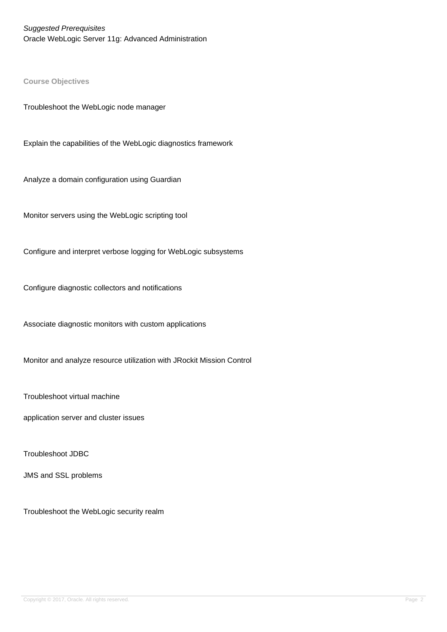Suggested Prerequisites Oracle WebLogic Server 11g: Advanced Administration

**Course Objectives**

Troubleshoot the WebLogic node manager

Explain the capabilities of the WebLogic diagnostics framework

Analyze a domain configuration using Guardian

Monitor servers using the WebLogic scripting tool

Configure and interpret verbose logging for WebLogic subsystems

Configure diagnostic collectors and notifications

Associate diagnostic monitors with custom applications

Monitor and analyze resource utilization with JRockit Mission Control

Troubleshoot virtual machine

application server and cluster issues

Troubleshoot JDBC

JMS and SSL problems

Troubleshoot the WebLogic security realm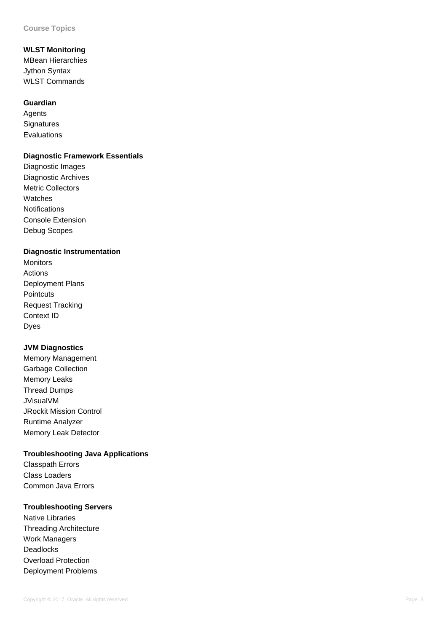# **WLST Monitoring**

MBean Hierarchies Jython Syntax WLST Commands

## **Guardian**

**Agents Signatures** Evaluations

# **Diagnostic Framework Essentials**

Diagnostic Images Diagnostic Archives Metric Collectors Watches **Notifications** Console Extension Debug Scopes

# **Diagnostic Instrumentation**

Monitors Actions Deployment Plans **Pointcuts** Request Tracking Context ID Dyes

# **JVM Diagnostics**

Memory Management Garbage Collection Memory Leaks Thread Dumps JVisualVM JRockit Mission Control Runtime Analyzer Memory Leak Detector

# **Troubleshooting Java Applications**

Classpath Errors Class Loaders Common Java Errors

# **Troubleshooting Servers**

Native Libraries Threading Architecture Work Managers Deadlocks Overload Protection Deployment Problems